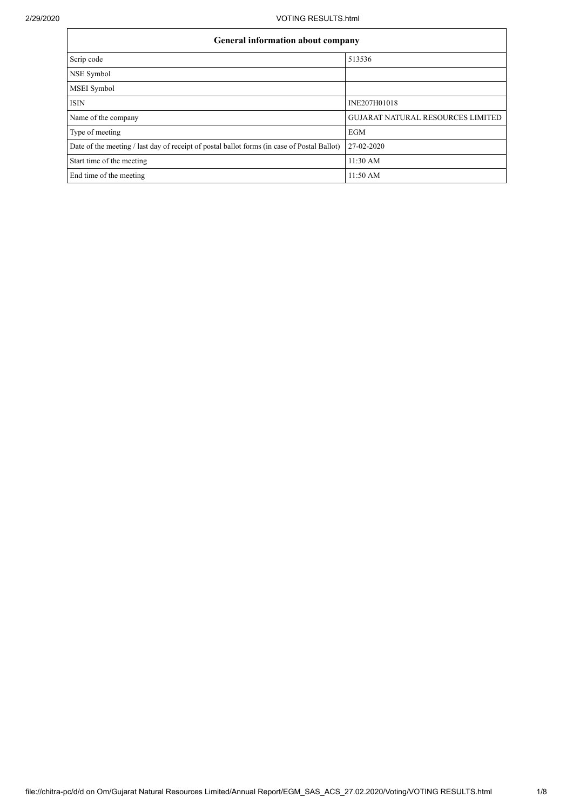| General information about company                                                           |                                          |  |  |  |  |
|---------------------------------------------------------------------------------------------|------------------------------------------|--|--|--|--|
| Scrip code                                                                                  | 513536                                   |  |  |  |  |
| NSE Symbol                                                                                  |                                          |  |  |  |  |
| MSEI Symbol                                                                                 |                                          |  |  |  |  |
| <b>ISIN</b>                                                                                 | INE207H01018                             |  |  |  |  |
| Name of the company                                                                         | <b>GUJARAT NATURAL RESOURCES LIMITED</b> |  |  |  |  |
| Type of meeting                                                                             | <b>EGM</b>                               |  |  |  |  |
| Date of the meeting / last day of receipt of postal ballot forms (in case of Postal Ballot) | 27-02-2020                               |  |  |  |  |
| Start time of the meeting                                                                   | $11:30$ AM                               |  |  |  |  |
| End time of the meeting                                                                     | 11:50 AM                                 |  |  |  |  |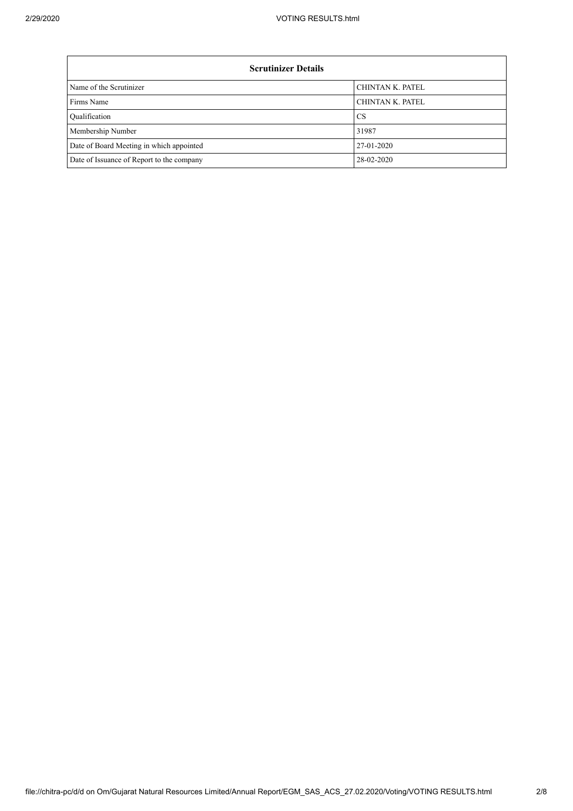| <b>Scrutinizer Details</b>                |                         |  |  |  |  |
|-------------------------------------------|-------------------------|--|--|--|--|
| Name of the Scrutinizer                   | <b>CHINTAN K. PATEL</b> |  |  |  |  |
| Firms Name                                | <b>CHINTAN K. PATEL</b> |  |  |  |  |
| Qualification                             | <b>CS</b>               |  |  |  |  |
| Membership Number                         | 31987                   |  |  |  |  |
| Date of Board Meeting in which appointed  | 27-01-2020              |  |  |  |  |
| Date of Issuance of Report to the company | 28-02-2020              |  |  |  |  |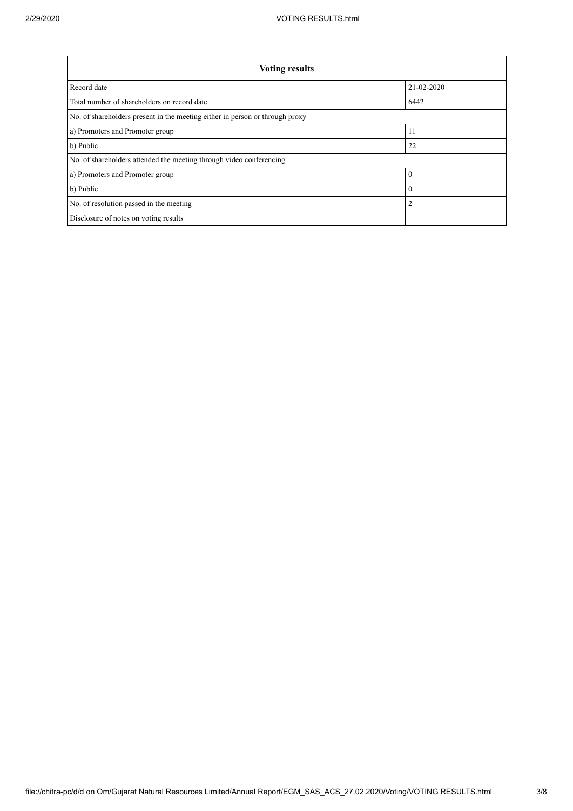| <b>Voting results</b>                                                        |                |  |  |  |  |  |
|------------------------------------------------------------------------------|----------------|--|--|--|--|--|
| Record date                                                                  | 21-02-2020     |  |  |  |  |  |
| Total number of shareholders on record date<br>6442                          |                |  |  |  |  |  |
| No. of shareholders present in the meeting either in person or through proxy |                |  |  |  |  |  |
| a) Promoters and Promoter group                                              | 11             |  |  |  |  |  |
| b) Public                                                                    | 22             |  |  |  |  |  |
| No. of shareholders attended the meeting through video conferencing          |                |  |  |  |  |  |
| a) Promoters and Promoter group                                              | $\theta$       |  |  |  |  |  |
| b) Public                                                                    | $\theta$       |  |  |  |  |  |
| No. of resolution passed in the meeting                                      | $\overline{2}$ |  |  |  |  |  |
| Disclosure of notes on voting results                                        |                |  |  |  |  |  |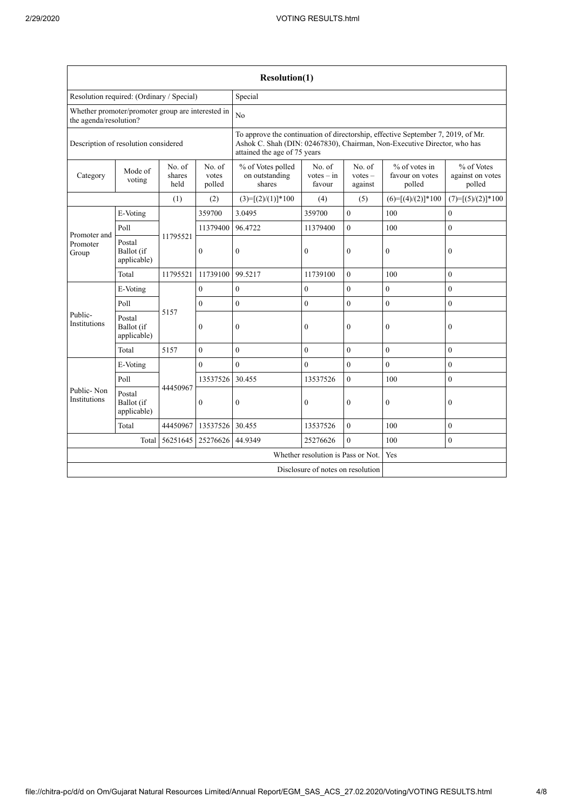| <b>Resolution(1)</b>                                                        |                                     |                          |                                                                                                                                                                                              |                                               |                                  |                                |                                              |                                          |
|-----------------------------------------------------------------------------|-------------------------------------|--------------------------|----------------------------------------------------------------------------------------------------------------------------------------------------------------------------------------------|-----------------------------------------------|----------------------------------|--------------------------------|----------------------------------------------|------------------------------------------|
| Resolution required: (Ordinary / Special)                                   |                                     |                          | Special                                                                                                                                                                                      |                                               |                                  |                                |                                              |                                          |
| Whether promoter/promoter group are interested in<br>the agenda/resolution? |                                     |                          | N <sub>0</sub>                                                                                                                                                                               |                                               |                                  |                                |                                              |                                          |
| Description of resolution considered                                        |                                     |                          | To approve the continuation of directorship, effective September 7, 2019, of Mr.<br>Ashok C. Shah (DIN: 02467830), Chairman, Non-Executive Director, who has<br>attained the age of 75 years |                                               |                                  |                                |                                              |                                          |
| Category                                                                    | Mode of<br>voting                   | No. of<br>shares<br>held | No. of<br>votes<br>polled                                                                                                                                                                    | % of Votes polled<br>on outstanding<br>shares | No. of<br>$votes - in$<br>favour | No. of<br>$votes -$<br>against | $%$ of votes in<br>favour on votes<br>polled | % of Votes<br>against on votes<br>polled |
|                                                                             |                                     | (1)                      | (2)                                                                                                                                                                                          | $(3)=[(2)/(1)]*100$                           | (4)                              | (5)                            | $(6)=[(4)/(2)]*100$                          | $(7)=[(5)/(2)]*100$                      |
|                                                                             | E-Voting                            |                          | 359700                                                                                                                                                                                       | 3.0495                                        | 359700                           | $\boldsymbol{0}$               | 100                                          | $\overline{0}$                           |
| Promoter and                                                                | Poll                                |                          | 11379400                                                                                                                                                                                     | 96.4722                                       | 11379400                         | 0                              | 100                                          | $\theta$                                 |
| Promoter<br>Group                                                           | Postal<br>Ballot (if<br>applicable) | 11795521                 | $\mathbf{0}$                                                                                                                                                                                 | $\mathbf{0}$                                  | $\mathbf{0}$                     | 0                              | $\mathbf{0}$                                 | $\mathbf{0}$                             |
|                                                                             | Total                               | 11795521                 | 11739100                                                                                                                                                                                     | 99.5217                                       | 11739100                         | $\mathbf{0}$                   | 100                                          | $\overline{0}$                           |
|                                                                             | E-Voting                            |                          | $\mathbf{0}$                                                                                                                                                                                 | $\mathbf{0}$                                  | $\mathbf{0}$                     | $\mathbf{0}$                   | $\mathbf{0}$                                 | $\overline{0}$                           |
|                                                                             | Poll                                | 5157                     | $\theta$                                                                                                                                                                                     | $\theta$                                      | $\mathbf{0}$                     | $\overline{0}$                 | $\mathbf{0}$                                 | $\theta$                                 |
| Public-<br>Institutions                                                     | Postal<br>Ballot (if<br>applicable) |                          | $\theta$                                                                                                                                                                                     | $\mathbf{0}$                                  | $\mathbf{0}$                     | $\overline{0}$                 | $\theta$                                     | $\Omega$                                 |
|                                                                             | Total                               | 5157                     | $\theta$                                                                                                                                                                                     | $\theta$                                      | $\mathbf{0}$                     | $\mathbf{0}$                   | $\theta$                                     | $\theta$                                 |
|                                                                             | E-Voting                            |                          | $\theta$                                                                                                                                                                                     | $\overline{0}$                                | $\overline{0}$                   | $\boldsymbol{0}$               | $\overline{0}$                               | $\overline{0}$                           |
| Public-Non<br>Institutions                                                  | Poll                                |                          | 13537526                                                                                                                                                                                     | 30.455                                        | 13537526                         | $\boldsymbol{0}$               | 100                                          | $\overline{0}$                           |
|                                                                             | Postal<br>Ballot (if<br>applicable) | 44450967                 | $\theta$                                                                                                                                                                                     | $\theta$                                      | $\mathbf{0}$                     | $\boldsymbol{0}$               | $\theta$                                     | $\boldsymbol{0}$                         |
|                                                                             | Total                               | 44450967                 | 13537526                                                                                                                                                                                     | 30.455                                        | 13537526                         | $\overline{0}$                 | 100                                          | $\theta$                                 |
| 56251645 25276626 44.9349<br>Total                                          |                                     |                          |                                                                                                                                                                                              | 25276626                                      | $\theta$                         | 100                            | $\theta$                                     |                                          |
| Whether resolution is Pass or Not.                                          |                                     |                          |                                                                                                                                                                                              |                                               |                                  | Yes                            |                                              |                                          |
| Disclosure of notes on resolution                                           |                                     |                          |                                                                                                                                                                                              |                                               |                                  |                                |                                              |                                          |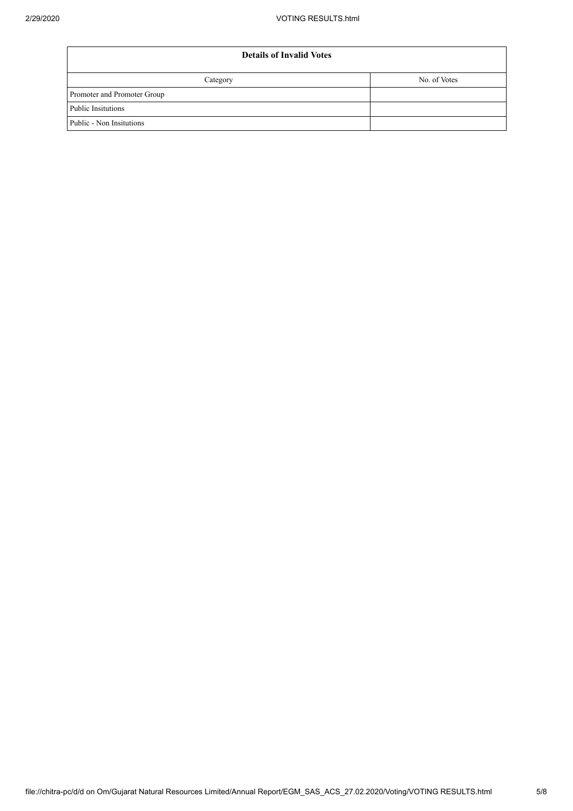| <b>Details of Invalid Votes</b> |              |  |  |  |
|---------------------------------|--------------|--|--|--|
| Category                        | No. of Votes |  |  |  |
| Promoter and Promoter Group     |              |  |  |  |
| Public Insitutions              |              |  |  |  |
| Public - Non Insitutions        |              |  |  |  |
|                                 |              |  |  |  |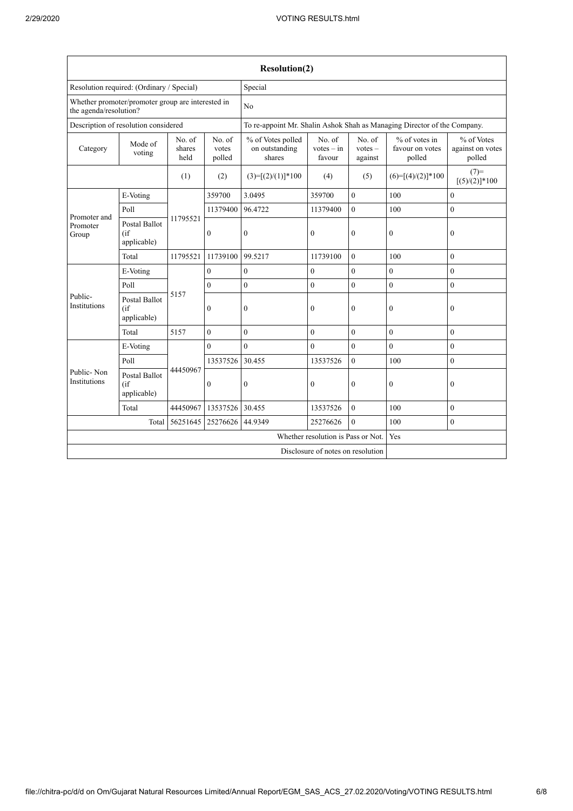| <b>Resolution(2)</b>                                                        |                                              |                          |                                                                          |                                               |                                  |                                |                                            |                                          |
|-----------------------------------------------------------------------------|----------------------------------------------|--------------------------|--------------------------------------------------------------------------|-----------------------------------------------|----------------------------------|--------------------------------|--------------------------------------------|------------------------------------------|
| Resolution required: (Ordinary / Special)                                   |                                              |                          | Special                                                                  |                                               |                                  |                                |                                            |                                          |
| Whether promoter/promoter group are interested in<br>the agenda/resolution? |                                              |                          | No                                                                       |                                               |                                  |                                |                                            |                                          |
| Description of resolution considered                                        |                                              |                          | To re-appoint Mr. Shalin Ashok Shah as Managing Director of the Company. |                                               |                                  |                                |                                            |                                          |
| Category                                                                    | Mode of<br>voting                            | No. of<br>shares<br>held | No. of<br>votes<br>polled                                                | % of Votes polled<br>on outstanding<br>shares | No. of<br>$votes - in$<br>favour | No. of<br>$votes -$<br>against | % of votes in<br>favour on votes<br>polled | % of Votes<br>against on votes<br>polled |
|                                                                             |                                              | (1)                      | (2)                                                                      | $(3)=[(2)/(1)]*100$                           | (4)                              | (5)                            | $(6)=[(4)/(2)]*100$                        | $(7)=$<br>$[(5)/(2)]$ * 100              |
|                                                                             | E-Voting                                     |                          | 359700                                                                   | 3.0495                                        | 359700                           | $\theta$                       | 100                                        | $\theta$                                 |
|                                                                             | Poll                                         |                          | 11379400                                                                 | 96.4722                                       | 11379400                         | $\mathbf{0}$                   | 100                                        | $\mathbf{0}$                             |
| Promoter and<br>Promoter<br>Group                                           | <b>Postal Ballot</b><br>(i f)<br>applicable) | 11795521                 | $\mathbf{0}$                                                             | $\mathbf{0}$                                  | $\mathbf{0}$                     | $\theta$                       | $\mathbf{0}$                               | $\mathbf{0}$                             |
|                                                                             | Total                                        | 11795521                 | 11739100                                                                 | 99.5217                                       | 11739100                         | $\theta$                       | 100                                        | $\theta$                                 |
|                                                                             | E-Voting                                     |                          | $\mathbf{0}$                                                             | $\mathbf{0}$                                  | $\mathbf{0}$                     | $\theta$                       | $\overline{0}$                             | $\theta$                                 |
| Public-<br>Institutions                                                     | Poll                                         | 5157                     | $\boldsymbol{0}$                                                         | $\mathbf{0}$                                  | $\mathbf{0}$                     | $\mathbf{0}$                   | $\mathbf{0}$                               | $\mathbf{0}$                             |
|                                                                             | Postal Ballot<br>(i f)<br>applicable)        |                          | $\boldsymbol{0}$                                                         | $\mathbf{0}$                                  | $\mathbf{0}$                     | $\mathbf{0}$                   | $\mathbf{0}$                               | $\mathbf{0}$                             |
|                                                                             | Total                                        | 5157                     | $\theta$                                                                 | $\theta$                                      | $\theta$                         | $\theta$                       | $\theta$                                   | $\theta$                                 |
|                                                                             | E-Voting                                     |                          | $\overline{0}$                                                           | $\mathbf{0}$                                  | $\mathbf{0}$                     | $\mathbf{0}$                   | $\overline{0}$                             | $\mathbf{0}$                             |
| Public-Non<br>Institutions                                                  | Poll                                         |                          | 13537526                                                                 | 30.455                                        | 13537526                         | $\theta$                       | 100                                        | $\mathbf{0}$                             |
|                                                                             | <b>Postal Ballot</b><br>(if)<br>applicable)  | 44450967                 | $\mathbf{0}$                                                             | $\mathbf{0}$                                  | $\mathbf{0}$                     | $\mathbf{0}$                   | $\mathbf{0}$                               | $\mathbf{0}$                             |
|                                                                             | Total                                        | 44450967                 | 13537526                                                                 | 30.455                                        | 13537526                         | $\theta$                       | 100                                        | $\theta$                                 |
| 56251645<br>Total<br>25276626                                               |                                              |                          | 44.9349                                                                  | 25276626                                      | $\theta$                         | 100                            | $\theta$                                   |                                          |
| Whether resolution is Pass or Not.                                          |                                              |                          |                                                                          |                                               |                                  | Yes                            |                                            |                                          |
| Disclosure of notes on resolution                                           |                                              |                          |                                                                          |                                               |                                  |                                |                                            |                                          |